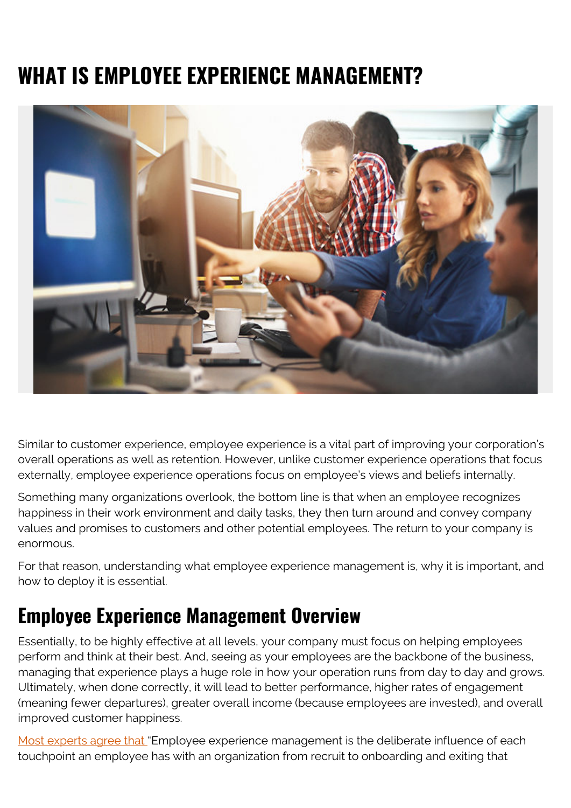# **WHAT IS EMPLOYEE EXPERIENCE MANAGEMENT?**



Similar to customer experience, employee experience is a vital part of improving your corporation's overall operations as well as retention. However, unlike customer experience operations that focus externally, employee experience operations focus on employee's views and beliefs internally.

Something many organizations overlook, the bottom line is that when an employee recognizes happiness in their work environment and daily tasks, they then turn around and convey company values and promises to customers and other potential employees. The return to your company is enormous.

For that reason, understanding what employee experience management is, why it is important, and how to deploy it is essential.

#### **Employee Experience Management Overview**

Essentially, to be highly effective at all levels, your company must focus on helping employees perform and think at their best. And, seeing as your employees are the backbone of the business, managing that experience plays a huge role in how your operation runs from day to day and grows. Ultimately, when done correctly, it will lead to better performance, higher rates of engagement (meaning fewer departures), greater overall income (because employees are invested), and overall improved customer happiness.

[Most experts agree that "](https://www.vmware.com/topics/glossary/content/employee-experience-management)Employee experience management is the deliberate influence of each touchpoint an employee has with an organization from recruit to onboarding and exiting that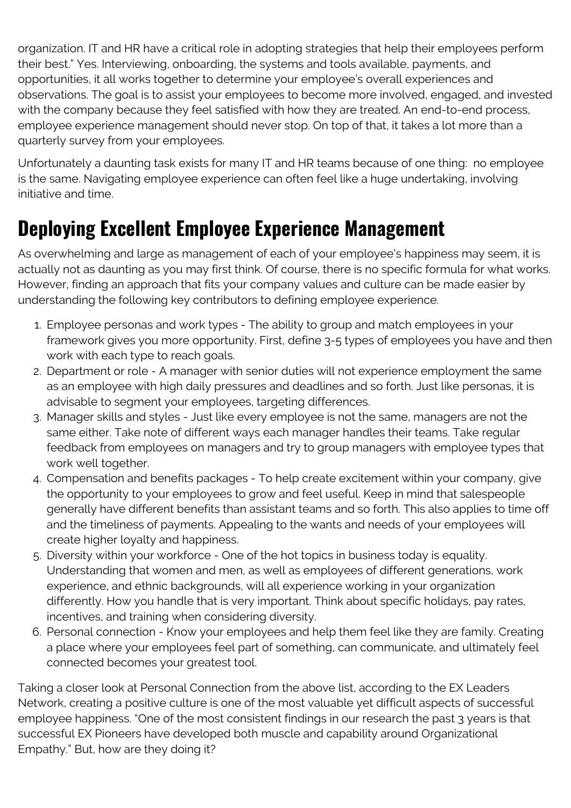organization. IT and HR have a critical role in adopting strategies that help their employees perform their best." Yes. Interviewing, onboarding, the systems and tools available, payments, and opportunities, it all works together to determine your employee's overall experiences and observations. The goal is to assist your employees to become more involved, engaged, and invested with the company because they feel satisfied with how they are treated. An end-to-end process, employee experience management should never stop. On top of that, it takes a lot more than a quarterly survey from your employees.

Unfortunately a daunting task exists for many IT and HR teams because of one thing: no employee is the same. Navigating employee experience can often feel like a huge undertaking, involving initiative and time.

### **Deploying Excellent Employee Experience Management**

As overwhelming and large as management of each of your employee's happiness may seem, it is actually not as daunting as you may first think. Of course, there is no specific formula for what works. However, finding an approach that fits your company values and culture can be made easier by understanding the following key contributors to defining employee experience.

- 1. Employee personas and work types The ability to group and match employees in your framework gives you more opportunity. First, define 3-5 types of employees you have and then work with each type to reach goals.
- 2. Department or role A manager with senior duties will not experience employment the same as an employee with high daily pressures and deadlines and so forth. Just like personas, it is advisable to segment your employees, targeting differences.
- 3. Manager skills and styles Just like every employee is not the same, managers are not the same either. Take note of different ways each manager handles their teams. Take regular feedback from employees on managers and try to group managers with employee types that work well together.
- 4. Compensation and benefits packages To help create excitement within your company, give the opportunity to your employees to grow and feel useful. Keep in mind that salespeople generally have different benefits than assistant teams and so forth. This also applies to time off and the timeliness of payments. Appealing to the wants and needs of your employees will create higher loyalty and happiness.
- 5. Diversity within your workforce One of the hot topics in business today is equality. Understanding that women and men, as well as employees of different generations, work experience, and ethnic backgrounds, will all experience working in your organization differently. How you handle that is very important. Think about specific holidays, pay rates, incentives, and training when considering diversity.
- 6. Personal connection Know your employees and help them feel like they are family. Creating a place where your employees feel part of something, can communicate, and ultimately feel connected becomes your greatest tool.

Taking a closer look at Personal Connection from the above list, according to the EX Leaders Network, creating a positive culture is one of the most valuable yet difficult aspects of successful employee happiness. "One of the most consistent findings in our research the past 3 years is that successful EX Pioneers have developed both muscle and capability around Organizational Empathy." But, how are they doing it?